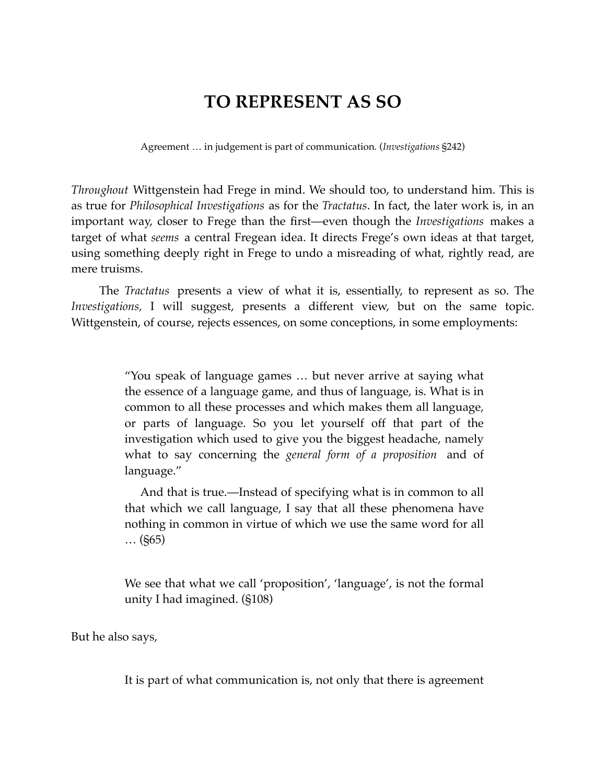## **TO REPRESENT AS SO**

Agreement … in judgement is part of communication*.* (*Investigations* §242)

*Throughout* Wittgenstein had Frege in mind. We should too, to understand him. This is as true for *Philosophical Investigations* as for the *Tractatus*. In fact, the later work is, in an important way, closer to Frege than the first—even though the *Investigations* makes a target of what *seems* a central Fregean idea. It directs Frege's own ideas at that target, using something deeply right in Frege to undo a misreading of what, rightly read, are mere truisms.

The *Tractatus* presents a view of what it is, essentially, to represent as so. The *Investigations,* I will suggest, presents a different view, but on the same topic. Wittgenstein, of course, rejects essences, on some conceptions, in some employments:

> "You speak of language games … but never arrive at saying what the essence of a language game, and thus of language, is. What is in common to all these processes and which makes them all language, or parts of language. So you let yourself off that part of the investigation which used to give you the biggest headache, namely what to say concerning the *general form of a proposition* and of language."

> And that is true.—Instead of specifying what is in common to all that which we call language, I say that all these phenomena have nothing in common in virtue of which we use the same word for all … (§65)

> We see that what we call 'proposition', 'language', is not the formal unity I had imagined. (§108)

But he also says,

It is part of what communication is, not only that there is agreement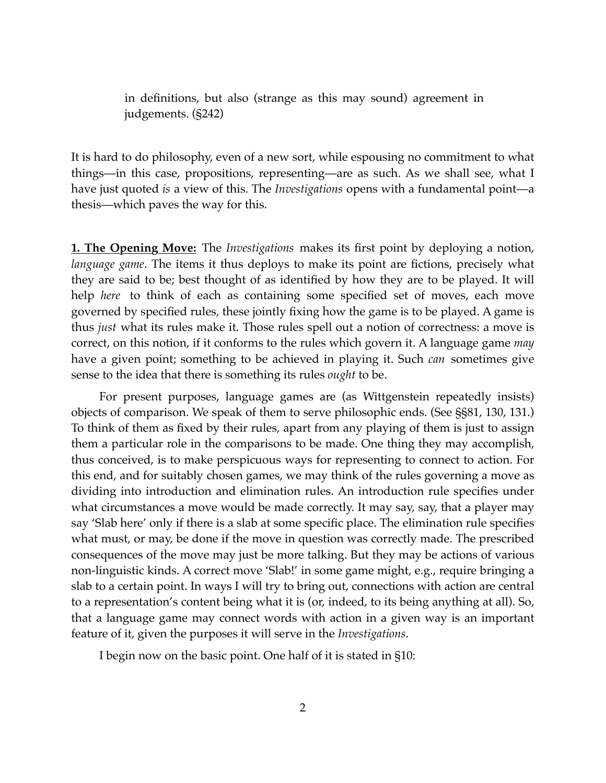in definitions, but also (strange as this may sound) agreement in judgements. (§242)

It is hard to do philosophy, even of a new sort, while espousing no commitment to what things—in this case, propositions, representing—are as such. As we shall see, what I have just quoted *is* a view of this. The *Investigations* opens with a fundamental point—a thesis—which paves the way for this.

**1. The Opening Move:** The *Investigations* makes its first point by deploying a notion, *language game*. The items it thus deploys to make its point are fictions, precisely what they are said to be; best thought of as identified by how they are to be played. It will help *here* to think of each as containing some specified set of moves, each move governed by specified rules, these jointly fixing how the game is to be played. A game is thus *just* what its rules make it. Those rules spell out a notion of correctness: a move is correct, on this notion, if it conforms to the rules which govern it. A language game *may* have a given point; something to be achieved in playing it. Such *can* sometimes give sense to the idea that there is something its rules *ought* to be.

For present purposes, language games are (as Wittgenstein repeatedly insists) objects of comparison. We speak of them to serve philosophic ends. (See §§81, 130, 131.) To think of them as fixed by their rules, apart from any playing of them is just to assign them a particular role in the comparisons to be made. One thing they may accomplish, thus conceived, is to make perspicuous ways for representing to connect to action. For this end, and for suitably chosen games, we may think of the rules governing a move as dividing into introduction and elimination rules. An introduction rule specifies under what circumstances a move would be made correctly. It may say, say, that a player may say 'Slab here' only if there is a slab at some specific place. The elimination rule specifies what must, or may, be done if the move in question was correctly made. The prescribed consequences of the move may just be more talking. But they may be actions of various non-linguistic kinds. A correct move 'Slab!' in some game might, e.g., require bringing a slab to a certain point. In ways I will try to bring out, connections with action are central to a representation's content being what it is (or, indeed, to its being anything at all). So, that a language game may connect words with action in a given way is an important feature of it, given the purposes it will serve in the *Investigations*.

I begin now on the basic point. One half of it is stated in §10: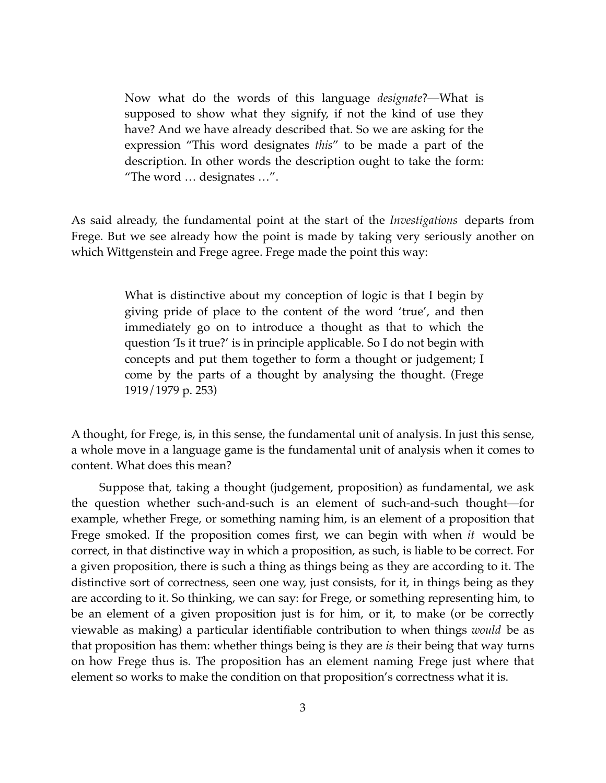Now what do the words of this language *designate*?—What is supposed to show what they signify, if not the kind of use they have? And we have already described that. So we are asking for the expression "This word designates *this*" to be made a part of the description. In other words the description ought to take the form: "The word … designates …".

As said already, the fundamental point at the start of the *Investigations* departs from Frege. But we see already how the point is made by taking very seriously another on which Wittgenstein and Frege agree. Frege made the point this way:

> What is distinctive about my conception of logic is that I begin by giving pride of place to the content of the word 'true', and then immediately go on to introduce a thought as that to which the question 'Is it true?' is in principle applicable. So I do not begin with concepts and put them together to form a thought or judgement; I come by the parts of a thought by analysing the thought. (Frege 1919/1979 p. 253)

A thought, for Frege, is, in this sense, the fundamental unit of analysis. In just this sense, a whole move in a language game is the fundamental unit of analysis when it comes to content. What does this mean?

Suppose that, taking a thought (judgement, proposition) as fundamental, we ask the question whether such-and-such is an element of such-and-such thought—for example, whether Frege, or something naming him, is an element of a proposition that Frege smoked. If the proposition comes first, we can begin with when *it* would be correct, in that distinctive way in which a proposition, as such, is liable to be correct. For a given proposition, there is such a thing as things being as they are according to it. The distinctive sort of correctness, seen one way, just consists, for it, in things being as they are according to it. So thinking, we can say: for Frege, or something representing him, to be an element of a given proposition just is for him, or it, to make (or be correctly viewable as making) a particular identifiable contribution to when things *would* be as that proposition has them: whether things being is they are *is* their being that way turns on how Frege thus is. The proposition has an element naming Frege just where that element so works to make the condition on that proposition's correctness what it is.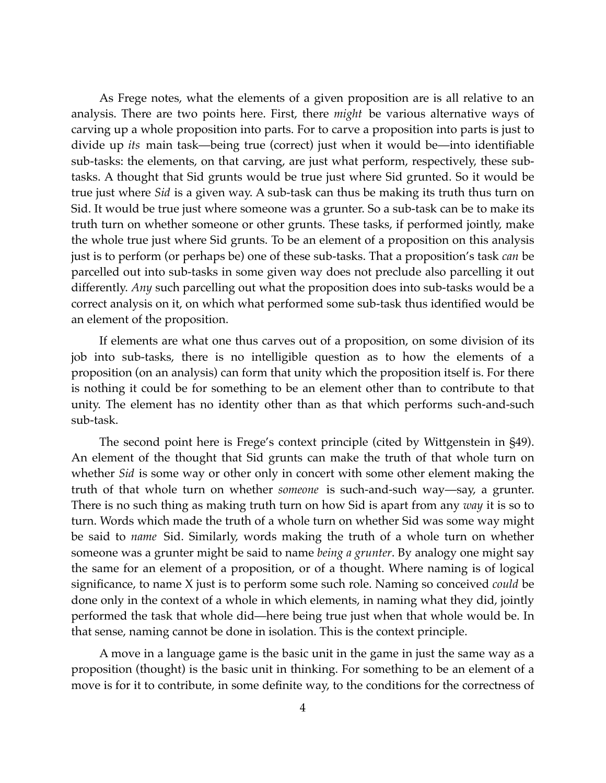As Frege notes, what the elements of a given proposition are is all relative to an analysis. There are two points here. First, there *might* be various alternative ways of carving up a whole proposition into parts. For to carve a proposition into parts is just to divide up *its* main task—being true (correct) just when it would be—into identifiable sub-tasks: the elements, on that carving, are just what perform, respectively, these subtasks. A thought that Sid grunts would be true just where Sid grunted. So it would be true just where *Sid* is a given way. A sub-task can thus be making its truth thus turn on Sid. It would be true just where someone was a grunter. So a sub-task can be to make its truth turn on whether someone or other grunts. These tasks, if performed jointly, make the whole true just where Sid grunts. To be an element of a proposition on this analysis just is to perform (or perhaps be) one of these sub-tasks. That a proposition's task *can* be parcelled out into sub-tasks in some given way does not preclude also parcelling it out differently. *Any* such parcelling out what the proposition does into sub-tasks would be a correct analysis on it, on which what performed some sub-task thus identified would be an element of the proposition.

If elements are what one thus carves out of a proposition, on some division of its job into sub-tasks, there is no intelligible question as to how the elements of a proposition (on an analysis) can form that unity which the proposition itself is. For there is nothing it could be for something to be an element other than to contribute to that unity. The element has no identity other than as that which performs such-and-such sub-task.

The second point here is Frege's context principle (cited by Wittgenstein in §49). An element of the thought that Sid grunts can make the truth of that whole turn on whether *Sid* is some way or other only in concert with some other element making the truth of that whole turn on whether *someone* is such-and-such way—say, a grunter. There is no such thing as making truth turn on how Sid is apart from any *way* it is so to turn. Words which made the truth of a whole turn on whether Sid was some way might be said to *name* Sid. Similarly, words making the truth of a whole turn on whether someone was a grunter might be said to name *being a grunter*. By analogy one might say the same for an element of a proposition, or of a thought. Where naming is of logical significance, to name X just is to perform some such role. Naming so conceived *could* be done only in the context of a whole in which elements, in naming what they did, jointly performed the task that whole did—here being true just when that whole would be. In that sense, naming cannot be done in isolation. This is the context principle.

A move in a language game is the basic unit in the game in just the same way as a proposition (thought) is the basic unit in thinking. For something to be an element of a move is for it to contribute, in some definite way, to the conditions for the correctness of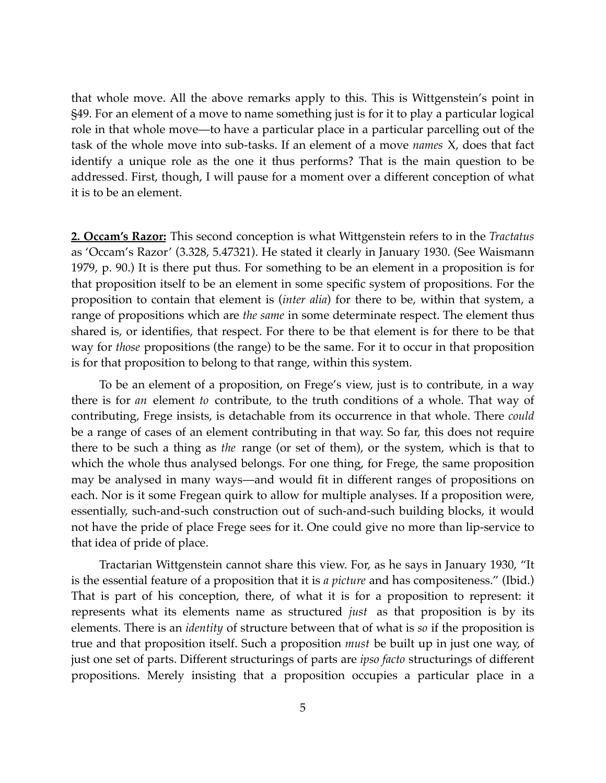that whole move. All the above remarks apply to this. This is Wittgenstein's point in §49. For an element of a move to name something just is for it to play a particular logical role in that whole move—to have a particular place in a particular parcelling out of the task of the whole move into sub-tasks. If an element of a move *names* X, does that fact identify a unique role as the one it thus performs? That is the main question to be addressed. First, though, I will pause for a moment over a different conception of what it is to be an element.

**2. Occam's Razor:** This second conception is what Wittgenstein refers to in the *Tractatus* as 'Occam's Razor' (3.328, 5.47321). He stated it clearly in January 1930. (See Waismann 1979, p. 90.) It is there put thus. For something to be an element in a proposition is for that proposition itself to be an element in some specific system of propositions. For the proposition to contain that element is (*inter alia*) for there to be, within that system, a range of propositions which are *the same* in some determinate respect. The element thus shared is, or identifies, that respect. For there to be that element is for there to be that way for *those* propositions (the range) to be the same. For it to occur in that proposition is for that proposition to belong to that range, within this system.

To be an element of a proposition, on Frege's view, just is to contribute, in a way there is for *an* element *to* contribute, to the truth conditions of a whole. That way of contributing, Frege insists, is detachable from its occurrence in that whole. There *could* be a range of cases of an element contributing in that way. So far, this does not require there to be such a thing as *the* range (or set of them), or the system, which is that to which the whole thus analysed belongs. For one thing, for Frege, the same proposition may be analysed in many ways—and would fit in different ranges of propositions on each. Nor is it some Fregean quirk to allow for multiple analyses. If a proposition were, essentially, such-and-such construction out of such-and-such building blocks, it would not have the pride of place Frege sees for it. One could give no more than lip-service to that idea of pride of place.

Tractarian Wittgenstein cannot share this view. For, as he says in January 1930, "It is the essential feature of a proposition that it is *a picture* and has compositeness." (Ibid.) That is part of his conception, there, of what it is for a proposition to represent: it represents what its elements name as structured *just* as that proposition is by its elements. There is an *identity* of structure between that of what is *so* if the proposition is true and that proposition itself. Such a proposition *must* be built up in just one way, of just one set of parts. Different structurings of parts are *ipso facto* structurings of different propositions. Merely insisting that a proposition occupies a particular place in a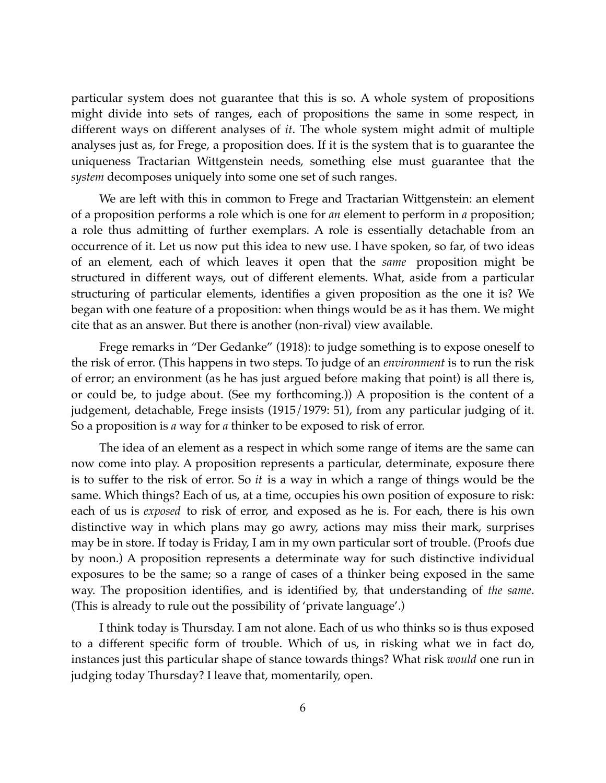particular system does not guarantee that this is so. A whole system of propositions might divide into sets of ranges, each of propositions the same in some respect, in different ways on different analyses of *it*. The whole system might admit of multiple analyses just as, for Frege, a proposition does. If it is the system that is to guarantee the uniqueness Tractarian Wittgenstein needs, something else must guarantee that the *system* decomposes uniquely into some one set of such ranges.

We are left with this in common to Frege and Tractarian Wittgenstein: an element of a proposition performs a role which is one for *an* element to perform in *a* proposition; a role thus admitting of further exemplars. A role is essentially detachable from an occurrence of it. Let us now put this idea to new use. I have spoken, so far, of two ideas of an element, each of which leaves it open that the *same* proposition might be structured in different ways, out of different elements. What, aside from a particular structuring of particular elements, identifies a given proposition as the one it is? We began with one feature of a proposition: when things would be as it has them. We might cite that as an answer. But there is another (non-rival) view available.

Frege remarks in "Der Gedanke" (1918): to judge something is to expose oneself to the risk of error. (This happens in two steps. To judge of an *environment* is to run the risk of error; an environment (as he has just argued before making that point) is all there is, or could be, to judge about. (See my forthcoming.)) A proposition is the content of a judgement, detachable, Frege insists (1915/1979: 51), from any particular judging of it. So a proposition is *a* way for *a* thinker to be exposed to risk of error.

The idea of an element as a respect in which some range of items are the same can now come into play. A proposition represents a particular, determinate, exposure there is to suffer to the risk of error. So *it* is a way in which a range of things would be the same. Which things? Each of us, at a time, occupies his own position of exposure to risk: each of us is *exposed* to risk of error, and exposed as he is. For each, there is his own distinctive way in which plans may go awry, actions may miss their mark, surprises may be in store. If today is Friday, I am in my own particular sort of trouble. (Proofs due by noon.) A proposition represents a determinate way for such distinctive individual exposures to be the same; so a range of cases of a thinker being exposed in the same way. The proposition identifies, and is identified by, that understanding of *the same*. (This is already to rule out the possibility of 'private language'.)

I think today is Thursday. I am not alone. Each of us who thinks so is thus exposed to a different specific form of trouble. Which of us, in risking what we in fact do, instances just this particular shape of stance towards things? What risk *would* one run in judging today Thursday? I leave that, momentarily, open.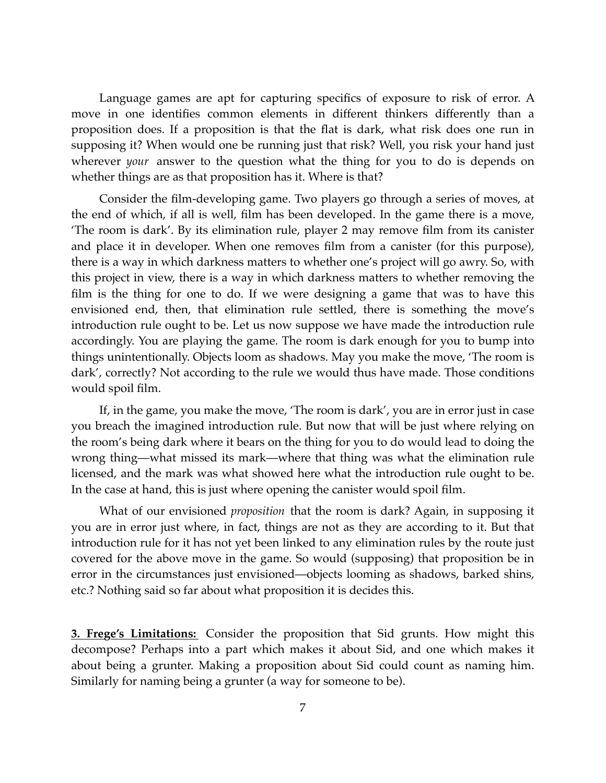Language games are apt for capturing specifics of exposure to risk of error. A move in one identifies common elements in different thinkers differently than a proposition does. If a proposition is that the flat is dark, what risk does one run in supposing it? When would one be running just that risk? Well, you risk your hand just wherever *your* answer to the question what the thing for you to do is depends on whether things are as that proposition has it. Where is that?

Consider the film-developing game. Two players go through a series of moves, at the end of which, if all is well, film has been developed. In the game there is a move, 'The room is dark'. By its elimination rule, player 2 may remove film from its canister and place it in developer. When one removes film from a canister (for this purpose), there is a way in which darkness matters to whether one's project will go awry. So, with this project in view, there is a way in which darkness matters to whether removing the film is the thing for one to do. If we were designing a game that was to have this envisioned end, then, that elimination rule settled, there is something the move's introduction rule ought to be. Let us now suppose we have made the introduction rule accordingly. You are playing the game. The room is dark enough for you to bump into things unintentionally. Objects loom as shadows. May you make the move, 'The room is dark', correctly? Not according to the rule we would thus have made. Those conditions would spoil film.

If, in the game, you make the move, 'The room is dark', you are in error just in case you breach the imagined introduction rule. But now that will be just where relying on the room's being dark where it bears on the thing for you to do would lead to doing the wrong thing—what missed its mark—where that thing was what the elimination rule licensed, and the mark was what showed here what the introduction rule ought to be. In the case at hand, this is just where opening the canister would spoil film.

What of our envisioned *proposition* that the room is dark? Again, in supposing it you are in error just where, in fact, things are not as they are according to it. But that introduction rule for it has not yet been linked to any elimination rules by the route just covered for the above move in the game. So would (supposing) that proposition be in error in the circumstances just envisioned—objects looming as shadows, barked shins, etc.? Nothing said so far about what proposition it is decides this.

**3. Frege's Limitations:** Consider the proposition that Sid grunts. How might this decompose? Perhaps into a part which makes it about Sid, and one which makes it about being a grunter. Making a proposition about Sid could count as naming him. Similarly for naming being a grunter (a way for someone to be).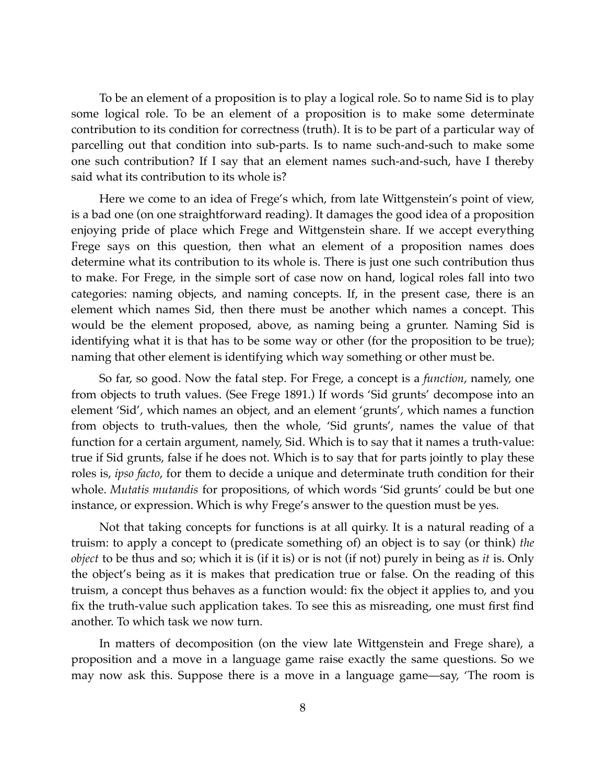To be an element of a proposition is to play a logical role. So to name Sid is to play some logical role. To be an element of a proposition is to make some determinate contribution to its condition for correctness (truth). It is to be part of a particular way of parcelling out that condition into sub-parts. Is to name such-and-such to make some one such contribution? If I say that an element names such-and-such, have I thereby said what its contribution to its whole is?

Here we come to an idea of Frege's which, from late Wittgenstein's point of view, is a bad one (on one straightforward reading). It damages the good idea of a proposition enjoying pride of place which Frege and Wittgenstein share. If we accept everything Frege says on this question, then what an element of a proposition names does determine what its contribution to its whole is. There is just one such contribution thus to make. For Frege, in the simple sort of case now on hand, logical roles fall into two categories: naming objects, and naming concepts. If, in the present case, there is an element which names Sid, then there must be another which names a concept. This would be the element proposed, above, as naming being a grunter. Naming Sid is identifying what it is that has to be some way or other (for the proposition to be true); naming that other element is identifying which way something or other must be.

So far, so good. Now the fatal step. For Frege, a concept is a *function*, namely, one from objects to truth values. (See Frege 1891.) If words 'Sid grunts' decompose into an element 'Sid', which names an object, and an element 'grunts', which names a function from objects to truth-values, then the whole, 'Sid grunts', names the value of that function for a certain argument, namely, Sid. Which is to say that it names a truth-value: true if Sid grunts, false if he does not. Which is to say that for parts jointly to play these roles is, *ipso facto*, for them to decide a unique and determinate truth condition for their whole. *Mutatis mutandis* for propositions, of which words 'Sid grunts' could be but one instance, or expression. Which is why Frege's answer to the question must be yes.

Not that taking concepts for functions is at all quirky. It is a natural reading of a truism: to apply a concept to (predicate something of) an object is to say (or think) *the object* to be thus and so; which it is (if it is) or is not (if not) purely in being as *it* is. Only the object's being as it is makes that predication true or false. On the reading of this truism, a concept thus behaves as a function would: fix the object it applies to, and you fix the truth-value such application takes. To see this as misreading, one must first find another. To which task we now turn.

In matters of decomposition (on the view late Wittgenstein and Frege share), a proposition and a move in a language game raise exactly the same questions. So we may now ask this. Suppose there is a move in a language game—say, 'The room is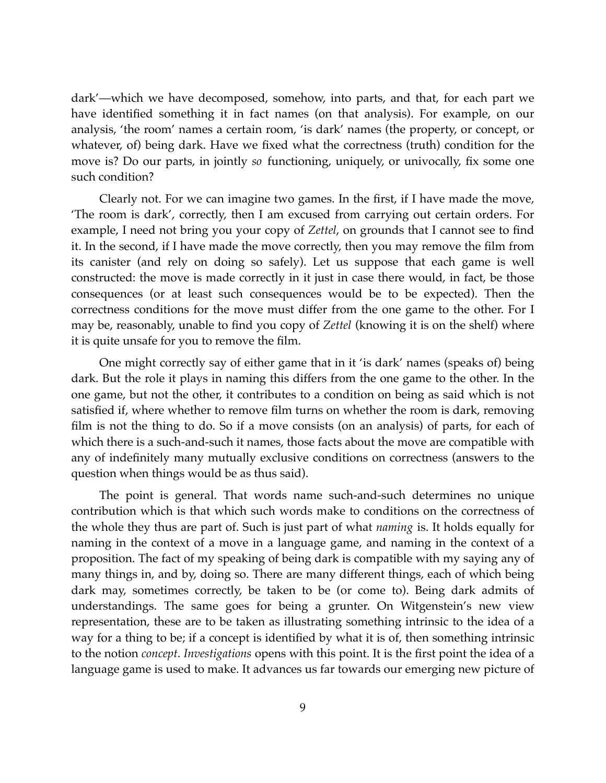dark'—which we have decomposed, somehow, into parts, and that, for each part we have identified something it in fact names (on that analysis). For example, on our analysis, 'the room' names a certain room, 'is dark' names (the property, or concept, or whatever, of) being dark. Have we fixed what the correctness (truth) condition for the move is? Do our parts, in jointly *so* functioning, uniquely, or univocally, fix some one such condition?

Clearly not. For we can imagine two games. In the first, if I have made the move, 'The room is dark', correctly, then I am excused from carrying out certain orders. For example, I need not bring you your copy of *Zettel*, on grounds that I cannot see to find it. In the second, if I have made the move correctly, then you may remove the film from its canister (and rely on doing so safely). Let us suppose that each game is well constructed: the move is made correctly in it just in case there would, in fact, be those consequences (or at least such consequences would be to be expected). Then the correctness conditions for the move must differ from the one game to the other. For I may be, reasonably, unable to find you copy of *Zettel* (knowing it is on the shelf) where it is quite unsafe for you to remove the film.

One might correctly say of either game that in it 'is dark' names (speaks of) being dark. But the role it plays in naming this differs from the one game to the other. In the one game, but not the other, it contributes to a condition on being as said which is not satisfied if, where whether to remove film turns on whether the room is dark, removing film is not the thing to do. So if a move consists (on an analysis) of parts, for each of which there is a such-and-such it names, those facts about the move are compatible with any of indefinitely many mutually exclusive conditions on correctness (answers to the question when things would be as thus said).

The point is general. That words name such-and-such determines no unique contribution which is that which such words make to conditions on the correctness of the whole they thus are part of. Such is just part of what *naming* is. It holds equally for naming in the context of a move in a language game, and naming in the context of a proposition. The fact of my speaking of being dark is compatible with my saying any of many things in, and by, doing so. There are many different things, each of which being dark may, sometimes correctly, be taken to be (or come to). Being dark admits of understandings. The same goes for being a grunter. On Witgenstein's new view representation, these are to be taken as illustrating something intrinsic to the idea of a way for a thing to be; if a concept is identified by what it is of, then something intrinsic to the notion *concept*. *Investigations* opens with this point. It is the first point the idea of a language game is used to make. It advances us far towards our emerging new picture of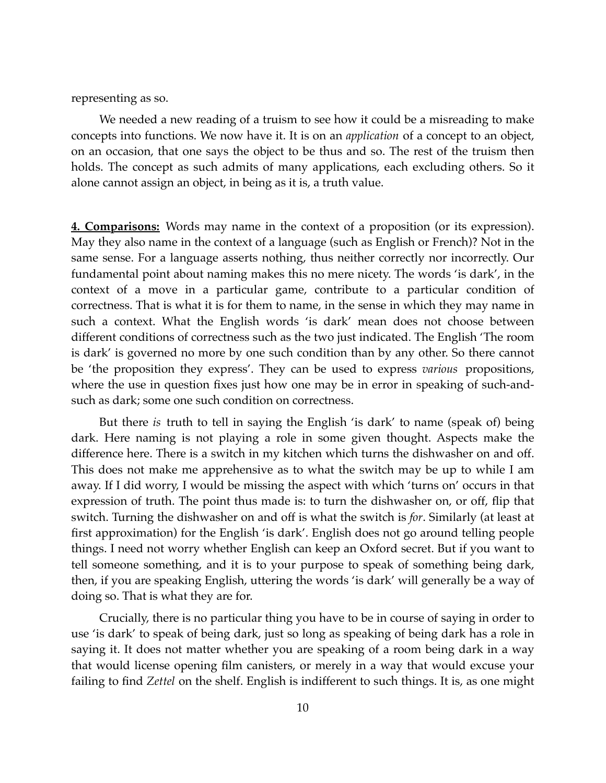representing as so.

We needed a new reading of a truism to see how it could be a misreading to make concepts into functions. We now have it. It is on an *application* of a concept to an object, on an occasion, that one says the object to be thus and so. The rest of the truism then holds. The concept as such admits of many applications, each excluding others. So it alone cannot assign an object, in being as it is, a truth value.

**4. Comparisons:** Words may name in the context of a proposition (or its expression). May they also name in the context of a language (such as English or French)? Not in the same sense. For a language asserts nothing, thus neither correctly nor incorrectly. Our fundamental point about naming makes this no mere nicety. The words 'is dark', in the context of a move in a particular game, contribute to a particular condition of correctness. That is what it is for them to name, in the sense in which they may name in such a context. What the English words 'is dark' mean does not choose between different conditions of correctness such as the two just indicated. The English 'The room is dark' is governed no more by one such condition than by any other. So there cannot be 'the proposition they express'. They can be used to express *various* propositions, where the use in question fixes just how one may be in error in speaking of such-andsuch as dark; some one such condition on correctness.

But there *is* truth to tell in saying the English 'is dark' to name (speak of) being dark. Here naming is not playing a role in some given thought. Aspects make the difference here. There is a switch in my kitchen which turns the dishwasher on and off. This does not make me apprehensive as to what the switch may be up to while I am away. If I did worry, I would be missing the aspect with which 'turns on' occurs in that expression of truth. The point thus made is: to turn the dishwasher on, or off, flip that switch. Turning the dishwasher on and off is what the switch is *for*. Similarly (at least at first approximation) for the English 'is dark'. English does not go around telling people things. I need not worry whether English can keep an Oxford secret. But if you want to tell someone something, and it is to your purpose to speak of something being dark, then, if you are speaking English, uttering the words 'is dark' will generally be a way of doing so. That is what they are for.

Crucially, there is no particular thing you have to be in course of saying in order to use 'is dark' to speak of being dark, just so long as speaking of being dark has a role in saying it. It does not matter whether you are speaking of a room being dark in a way that would license opening film canisters, or merely in a way that would excuse your failing to find *Zettel* on the shelf. English is indifferent to such things. It is, as one might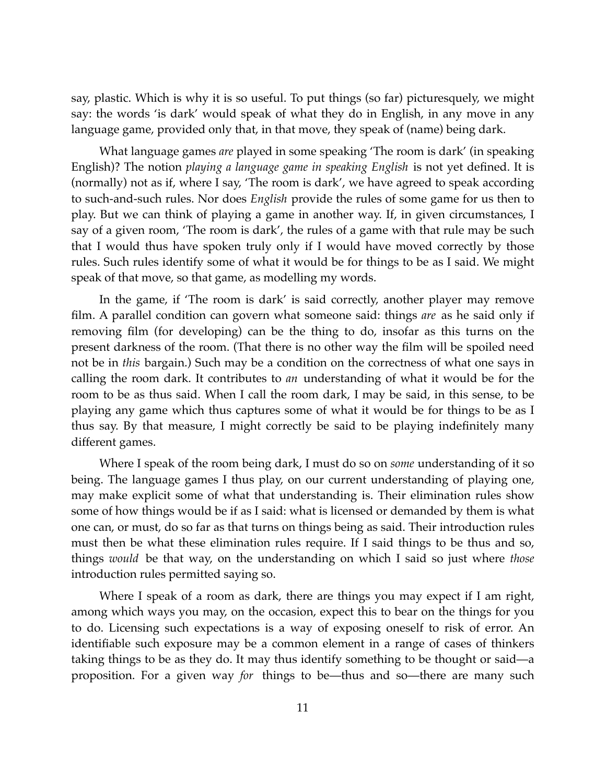say, plastic. Which is why it is so useful. To put things (so far) picturesquely, we might say: the words 'is dark' would speak of what they do in English, in any move in any language game, provided only that, in that move, they speak of (name) being dark.

What language games *are* played in some speaking 'The room is dark' (in speaking English)? The notion *playing a language game in speaking English* is not yet defined. It is (normally) not as if, where I say, 'The room is dark', we have agreed to speak according to such-and-such rules. Nor does *English* provide the rules of some game for us then to play. But we can think of playing a game in another way. If, in given circumstances, I say of a given room, 'The room is dark', the rules of a game with that rule may be such that I would thus have spoken truly only if I would have moved correctly by those rules. Such rules identify some of what it would be for things to be as I said. We might speak of that move, so that game, as modelling my words.

In the game, if 'The room is dark' is said correctly, another player may remove film. A parallel condition can govern what someone said: things *are* as he said only if removing film (for developing) can be the thing to do, insofar as this turns on the present darkness of the room. (That there is no other way the film will be spoiled need not be in *this* bargain.) Such may be a condition on the correctness of what one says in calling the room dark. It contributes to *an* understanding of what it would be for the room to be as thus said. When I call the room dark, I may be said, in this sense, to be playing any game which thus captures some of what it would be for things to be as I thus say. By that measure, I might correctly be said to be playing indefinitely many different games.

Where I speak of the room being dark, I must do so on *some* understanding of it so being. The language games I thus play, on our current understanding of playing one, may make explicit some of what that understanding is. Their elimination rules show some of how things would be if as I said: what is licensed or demanded by them is what one can, or must, do so far as that turns on things being as said. Their introduction rules must then be what these elimination rules require. If I said things to be thus and so, things *would* be that way, on the understanding on which I said so just where *those* introduction rules permitted saying so.

Where I speak of a room as dark, there are things you may expect if I am right, among which ways you may, on the occasion, expect this to bear on the things for you to do. Licensing such expectations is a way of exposing oneself to risk of error. An identifiable such exposure may be a common element in a range of cases of thinkers taking things to be as they do. It may thus identify something to be thought or said—a proposition. For a given way *for* things to be—thus and so—there are many such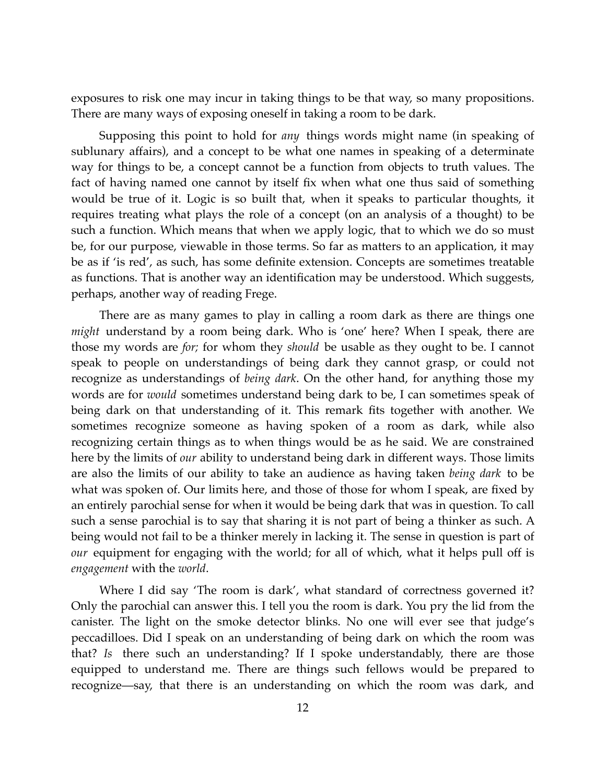exposures to risk one may incur in taking things to be that way, so many propositions. There are many ways of exposing oneself in taking a room to be dark.

Supposing this point to hold for *any* things words might name (in speaking of sublunary affairs), and a concept to be what one names in speaking of a determinate way for things to be, a concept cannot be a function from objects to truth values. The fact of having named one cannot by itself fix when what one thus said of something would be true of it. Logic is so built that, when it speaks to particular thoughts, it requires treating what plays the role of a concept (on an analysis of a thought) to be such a function. Which means that when we apply logic, that to which we do so must be, for our purpose, viewable in those terms. So far as matters to an application, it may be as if 'is red', as such, has some definite extension. Concepts are sometimes treatable as functions. That is another way an identification may be understood. Which suggests, perhaps, another way of reading Frege.

There are as many games to play in calling a room dark as there are things one *might* understand by a room being dark. Who is 'one' here? When I speak, there are those my words are *for;* for whom they *should* be usable as they ought to be. I cannot speak to people on understandings of being dark they cannot grasp, or could not recognize as understandings of *being dark*. On the other hand, for anything those my words are for *would* sometimes understand being dark to be, I can sometimes speak of being dark on that understanding of it. This remark fits together with another. We sometimes recognize someone as having spoken of a room as dark, while also recognizing certain things as to when things would be as he said. We are constrained here by the limits of *our* ability to understand being dark in different ways. Those limits are also the limits of our ability to take an audience as having taken *being dark* to be what was spoken of. Our limits here, and those of those for whom I speak, are fixed by an entirely parochial sense for when it would be being dark that was in question. To call such a sense parochial is to say that sharing it is not part of being a thinker as such. A being would not fail to be a thinker merely in lacking it. The sense in question is part of *our* equipment for engaging with the world; for all of which, what it helps pull off is *engagement* with the *world*.

Where I did say 'The room is dark', what standard of correctness governed it? Only the parochial can answer this. I tell you the room is dark. You pry the lid from the canister. The light on the smoke detector blinks. No one will ever see that judge's peccadilloes. Did I speak on an understanding of being dark on which the room was that? *Is* there such an understanding? If I spoke understandably, there are those equipped to understand me. There are things such fellows would be prepared to recognize—say, that there is an understanding on which the room was dark, and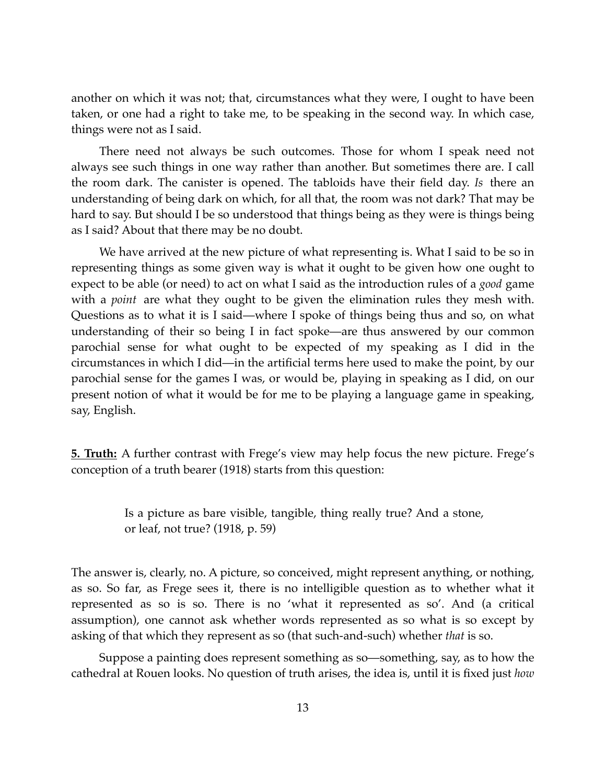another on which it was not; that, circumstances what they were, I ought to have been taken, or one had a right to take me, to be speaking in the second way. In which case, things were not as I said.

There need not always be such outcomes. Those for whom I speak need not always see such things in one way rather than another. But sometimes there are. I call the room dark. The canister is opened. The tabloids have their field day. *Is* there an understanding of being dark on which, for all that, the room was not dark? That may be hard to say. But should I be so understood that things being as they were is things being as I said? About that there may be no doubt.

We have arrived at the new picture of what representing is. What I said to be so in representing things as some given way is what it ought to be given how one ought to expect to be able (or need) to act on what I said as the introduction rules of a *good* game with a *point* are what they ought to be given the elimination rules they mesh with. Questions as to what it is I said—where I spoke of things being thus and so, on what understanding of their so being I in fact spoke—are thus answered by our common parochial sense for what ought to be expected of my speaking as I did in the circumstances in which I did—in the artificial terms here used to make the point, by our parochial sense for the games I was, or would be, playing in speaking as I did, on our present notion of what it would be for me to be playing a language game in speaking, say, English.

**5. Truth:** A further contrast with Frege's view may help focus the new picture. Frege's conception of a truth bearer (1918) starts from this question:

> Is a picture as bare visible, tangible, thing really true? And a stone, or leaf, not true? (1918, p. 59)

The answer is, clearly, no. A picture, so conceived, might represent anything, or nothing, as so. So far, as Frege sees it, there is no intelligible question as to whether what it represented as so is so. There is no 'what it represented as so'. And (a critical assumption), one cannot ask whether words represented as so what is so except by asking of that which they represent as so (that such-and-such) whether *that* is so.

Suppose a painting does represent something as so—something, say, as to how the cathedral at Rouen looks. No question of truth arises, the idea is, until it is fixed just *how*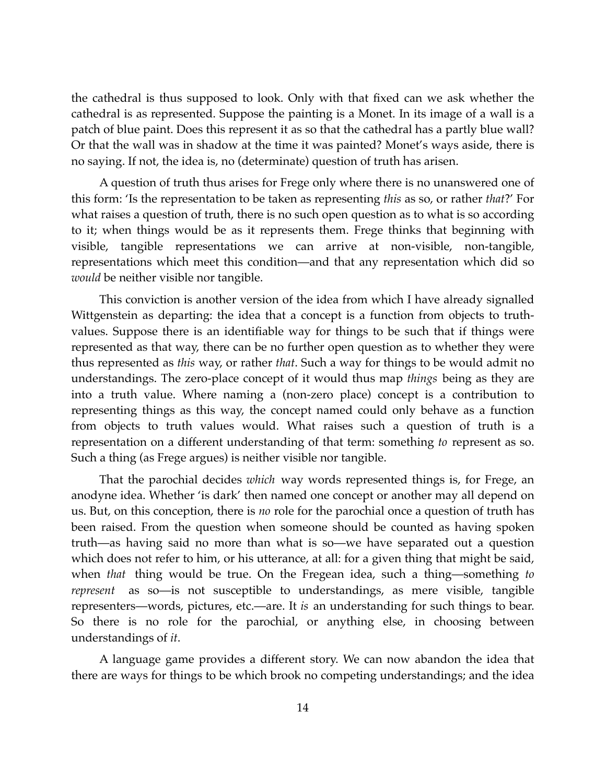the cathedral is thus supposed to look. Only with that fixed can we ask whether the cathedral is as represented. Suppose the painting is a Monet. In its image of a wall is a patch of blue paint. Does this represent it as so that the cathedral has a partly blue wall? Or that the wall was in shadow at the time it was painted? Monet's ways aside, there is no saying. If not, the idea is, no (determinate) question of truth has arisen.

A question of truth thus arises for Frege only where there is no unanswered one of this form: 'Is the representation to be taken as representing *this* as so, or rather *that*?' For what raises a question of truth, there is no such open question as to what is so according to it; when things would be as it represents them. Frege thinks that beginning with visible, tangible representations we can arrive at non-visible, non-tangible, representations which meet this condition—and that any representation which did so *would* be neither visible nor tangible.

This conviction is another version of the idea from which I have already signalled Wittgenstein as departing: the idea that a concept is a function from objects to truthvalues. Suppose there is an identifiable way for things to be such that if things were represented as that way, there can be no further open question as to whether they were thus represented as *this* way, or rather *that*. Such a way for things to be would admit no understandings. The zero-place concept of it would thus map *things* being as they are into a truth value. Where naming a (non-zero place) concept is a contribution to representing things as this way, the concept named could only behave as a function from objects to truth values would. What raises such a question of truth is a representation on a different understanding of that term: something *to* represent as so. Such a thing (as Frege argues) is neither visible nor tangible.

That the parochial decides *which* way words represented things is, for Frege, an anodyne idea. Whether 'is dark' then named one concept or another may all depend on us. But, on this conception, there is *no* role for the parochial once a question of truth has been raised. From the question when someone should be counted as having spoken truth—as having said no more than what is so—we have separated out a question which does not refer to him, or his utterance, at all: for a given thing that might be said, when *that* thing would be true. On the Fregean idea, such a thing—something *to represent* as so—is not susceptible to understandings, as mere visible, tangible representers—words, pictures, etc.—are. It *is* an understanding for such things to bear. So there is no role for the parochial, or anything else, in choosing between understandings of *it*.

A language game provides a different story. We can now abandon the idea that there are ways for things to be which brook no competing understandings; and the idea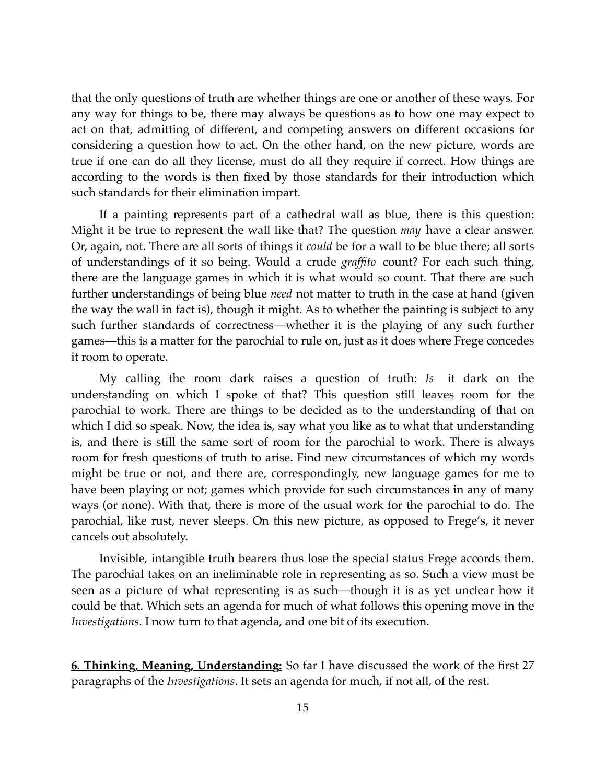that the only questions of truth are whether things are one or another of these ways. For any way for things to be, there may always be questions as to how one may expect to act on that, admitting of different, and competing answers on different occasions for considering a question how to act. On the other hand, on the new picture, words are true if one can do all they license, must do all they require if correct. How things are according to the words is then fixed by those standards for their introduction which such standards for their elimination impart.

If a painting represents part of a cathedral wall as blue, there is this question: Might it be true to represent the wall like that? The question *may* have a clear answer. Or, again, not. There are all sorts of things it *could* be for a wall to be blue there; all sorts of understandings of it so being. Would a crude *graffito* count? For each such thing, there are the language games in which it is what would so count. That there are such further understandings of being blue *need* not matter to truth in the case at hand (given the way the wall in fact is), though it might. As to whether the painting is subject to any such further standards of correctness—whether it is the playing of any such further games—this is a matter for the parochial to rule on, just as it does where Frege concedes it room to operate.

My calling the room dark raises a question of truth: *Is* it dark on the understanding on which I spoke of that? This question still leaves room for the parochial to work. There are things to be decided as to the understanding of that on which I did so speak. Now, the idea is, say what you like as to what that understanding is, and there is still the same sort of room for the parochial to work. There is always room for fresh questions of truth to arise. Find new circumstances of which my words might be true or not, and there are, correspondingly, new language games for me to have been playing or not; games which provide for such circumstances in any of many ways (or none). With that, there is more of the usual work for the parochial to do. The parochial, like rust, never sleeps. On this new picture, as opposed to Frege's, it never cancels out absolutely.

Invisible, intangible truth bearers thus lose the special status Frege accords them. The parochial takes on an ineliminable role in representing as so. Such a view must be seen as a picture of what representing is as such—though it is as yet unclear how it could be that. Which sets an agenda for much of what follows this opening move in the *Investigations*. I now turn to that agenda, and one bit of its execution.

**6. Thinking, Meaning, Understanding:** So far I have discussed the work of the first 27 paragraphs of the *Investigations*. It sets an agenda for much, if not all, of the rest.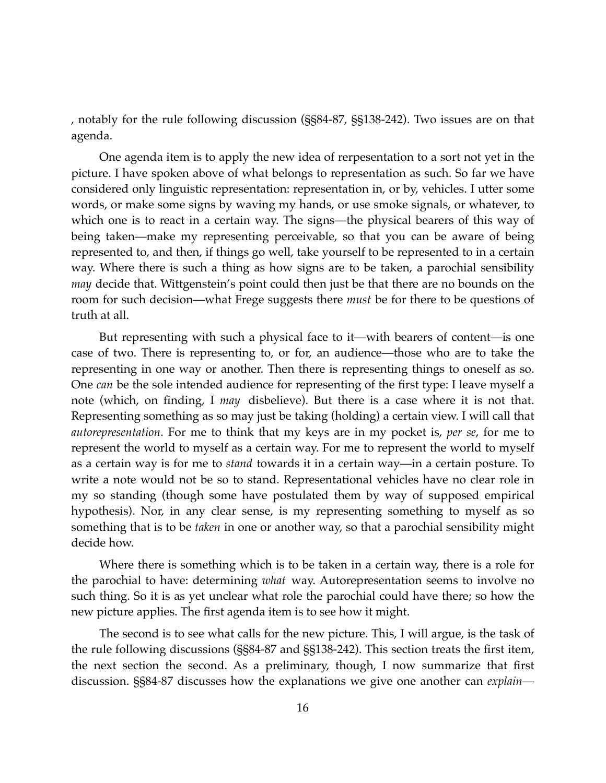, notably for the rule following discussion (§§84-87, §§138-242). Two issues are on that agenda.

One agenda item is to apply the new idea of rerpesentation to a sort not yet in the picture. I have spoken above of what belongs to representation as such. So far we have considered only linguistic representation: representation in, or by, vehicles. I utter some words, or make some signs by waving my hands, or use smoke signals, or whatever, to which one is to react in a certain way. The signs—the physical bearers of this way of being taken—make my representing perceivable, so that you can be aware of being represented to, and then, if things go well, take yourself to be represented to in a certain way. Where there is such a thing as how signs are to be taken, a parochial sensibility *may* decide that. Wittgenstein's point could then just be that there are no bounds on the room for such decision—what Frege suggests there *must* be for there to be questions of truth at all.

But representing with such a physical face to it—with bearers of content—is one case of two. There is representing to, or for, an audience—those who are to take the representing in one way or another. Then there is representing things to oneself as so. One *can* be the sole intended audience for representing of the first type: I leave myself a note (which, on finding, I *may* disbelieve). But there is a case where it is not that. Representing something as so may just be taking (holding) a certain view. I will call that *autorepresentation*. For me to think that my keys are in my pocket is, *per se*, for me to represent the world to myself as a certain way. For me to represent the world to myself as a certain way is for me to *stand* towards it in a certain way—in a certain posture. To write a note would not be so to stand. Representational vehicles have no clear role in my so standing (though some have postulated them by way of supposed empirical hypothesis). Nor, in any clear sense, is my representing something to myself as so something that is to be *taken* in one or another way, so that a parochial sensibility might decide how.

Where there is something which is to be taken in a certain way, there is a role for the parochial to have: determining *what* way. Autorepresentation seems to involve no such thing. So it is as yet unclear what role the parochial could have there; so how the new picture applies. The first agenda item is to see how it might.

The second is to see what calls for the new picture. This, I will argue, is the task of the rule following discussions (§§84-87 and §§138-242). This section treats the first item, the next section the second. As a preliminary, though, I now summarize that first discussion. §§84-87 discusses how the explanations we give one another can *explain*—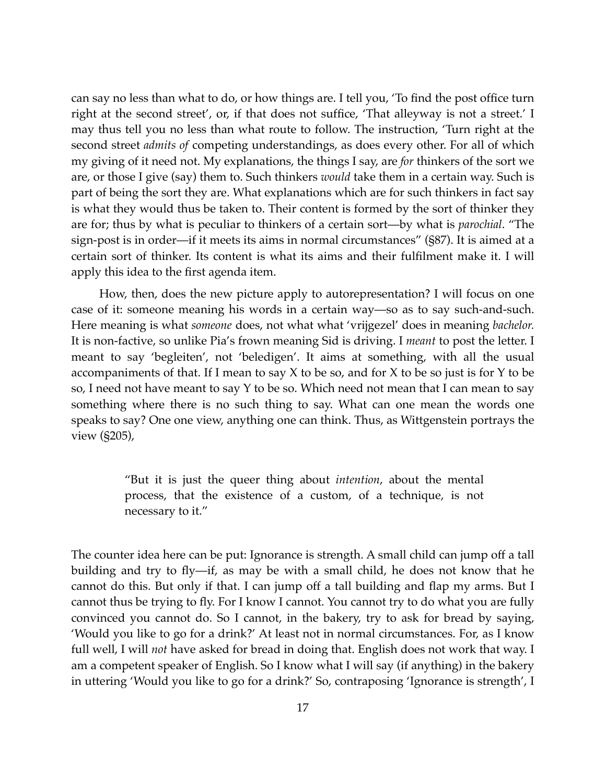can say no less than what to do, or how things are. I tell you, 'To find the post office turn right at the second street', or, if that does not suffice, 'That alleyway is not a street.' I may thus tell you no less than what route to follow. The instruction, 'Turn right at the second street *admits of* competing understandings, as does every other. For all of which my giving of it need not. My explanations, the things I say, are *for* thinkers of the sort we are, or those I give (say) them to. Such thinkers *would* take them in a certain way. Such is part of being the sort they are. What explanations which are for such thinkers in fact say is what they would thus be taken to. Their content is formed by the sort of thinker they are for; thus by what is peculiar to thinkers of a certain sort—by what is *parochial*. "The sign-post is in order—if it meets its aims in normal circumstances" (§87). It is aimed at a certain sort of thinker. Its content is what its aims and their fulfilment make it. I will apply this idea to the first agenda item.

How, then, does the new picture apply to autorepresentation? I will focus on one case of it: someone meaning his words in a certain way—so as to say such-and-such. Here meaning is what *someone* does, not what what 'vrijgezel' does in meaning *bachelor.* It is non-factive, so unlike Pia's frown meaning Sid is driving. I *meant* to post the letter. I meant to say 'begleiten', not 'beledigen'. It aims at something, with all the usual accompaniments of that. If I mean to say  $X$  to be so, and for  $X$  to be so just is for  $Y$  to be so, I need not have meant to say Y to be so. Which need not mean that I can mean to say something where there is no such thing to say. What can one mean the words one speaks to say? One one view, anything one can think. Thus, as Wittgenstein portrays the view (§205),

> "But it is just the queer thing about *intention*, about the mental process, that the existence of a custom, of a technique, is not necessary to it."

The counter idea here can be put: Ignorance is strength. A small child can jump off a tall building and try to fly—if, as may be with a small child, he does not know that he cannot do this. But only if that. I can jump off a tall building and flap my arms. But I cannot thus be trying to fly. For I know I cannot. You cannot try to do what you are fully convinced you cannot do. So I cannot, in the bakery, try to ask for bread by saying, 'Would you like to go for a drink?' At least not in normal circumstances. For, as I know full well, I will *not* have asked for bread in doing that. English does not work that way. I am a competent speaker of English. So I know what I will say (if anything) in the bakery in uttering 'Would you like to go for a drink?' So, contraposing 'Ignorance is strength', I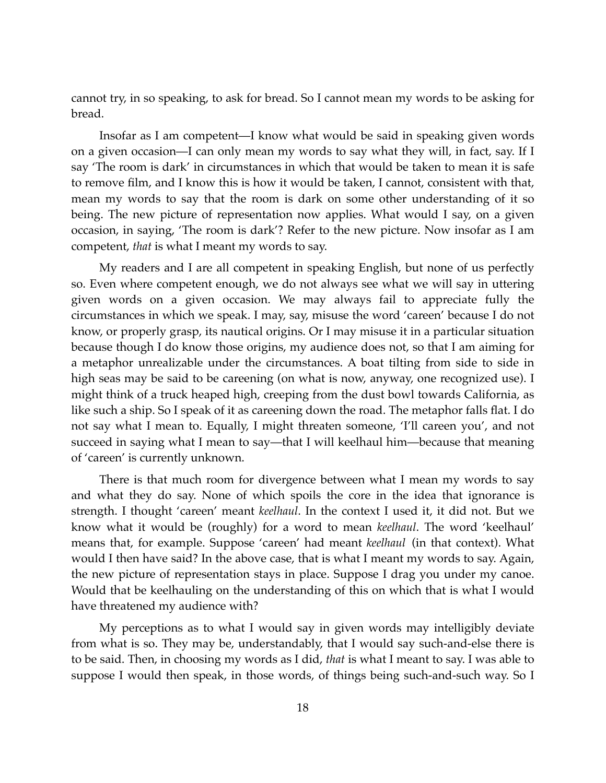cannot try, in so speaking, to ask for bread. So I cannot mean my words to be asking for bread.

Insofar as I am competent—I know what would be said in speaking given words on a given occasion—I can only mean my words to say what they will, in fact, say. If I say 'The room is dark' in circumstances in which that would be taken to mean it is safe to remove film, and I know this is how it would be taken, I cannot, consistent with that, mean my words to say that the room is dark on some other understanding of it so being. The new picture of representation now applies. What would I say, on a given occasion, in saying, 'The room is dark'? Refer to the new picture. Now insofar as I am competent, *that* is what I meant my words to say.

My readers and I are all competent in speaking English, but none of us perfectly so. Even where competent enough, we do not always see what we will say in uttering given words on a given occasion. We may always fail to appreciate fully the circumstances in which we speak. I may, say, misuse the word 'careen' because I do not know, or properly grasp, its nautical origins. Or I may misuse it in a particular situation because though I do know those origins, my audience does not, so that I am aiming for a metaphor unrealizable under the circumstances. A boat tilting from side to side in high seas may be said to be careening (on what is now, anyway, one recognized use). I might think of a truck heaped high, creeping from the dust bowl towards California, as like such a ship. So I speak of it as careening down the road. The metaphor falls flat. I do not say what I mean to. Equally, I might threaten someone, 'I'll careen you', and not succeed in saying what I mean to say—that I will keelhaul him—because that meaning of 'careen' is currently unknown.

There is that much room for divergence between what I mean my words to say and what they do say. None of which spoils the core in the idea that ignorance is strength. I thought 'careen' meant *keelhaul*. In the context I used it, it did not. But we know what it would be (roughly) for a word to mean *keelhaul*. The word 'keelhaul' means that, for example. Suppose 'careen' had meant *keelhaul* (in that context). What would I then have said? In the above case, that is what I meant my words to say. Again, the new picture of representation stays in place. Suppose I drag you under my canoe. Would that be keelhauling on the understanding of this on which that is what I would have threatened my audience with?

My perceptions as to what I would say in given words may intelligibly deviate from what is so. They may be, understandably, that I would say such-and-else there is to be said. Then, in choosing my words as I did, *that* is what I meant to say. I was able to suppose I would then speak, in those words, of things being such-and-such way. So I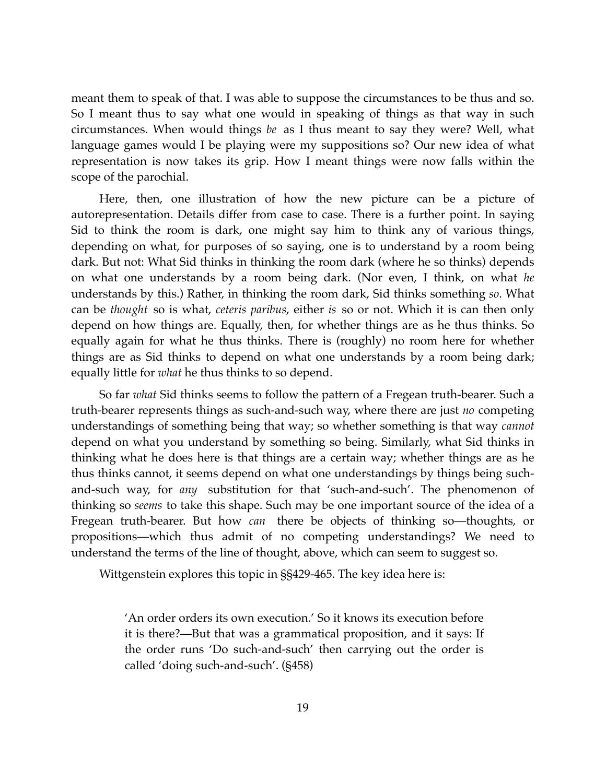meant them to speak of that. I was able to suppose the circumstances to be thus and so. So I meant thus to say what one would in speaking of things as that way in such circumstances. When would things *be* as I thus meant to say they were? Well, what language games would I be playing were my suppositions so? Our new idea of what representation is now takes its grip. How I meant things were now falls within the scope of the parochial.

Here, then, one illustration of how the new picture can be a picture of autorepresentation. Details differ from case to case. There is a further point. In saying Sid to think the room is dark, one might say him to think any of various things, depending on what, for purposes of so saying, one is to understand by a room being dark. But not: What Sid thinks in thinking the room dark (where he so thinks) depends on what one understands by a room being dark. (Nor even, I think, on what *he* understands by this.) Rather, in thinking the room dark, Sid thinks something *so*. What can be *thought* so is what, *ceteris paribus*, either *is* so or not. Which it is can then only depend on how things are. Equally, then, for whether things are as he thus thinks. So equally again for what he thus thinks. There is (roughly) no room here for whether things are as Sid thinks to depend on what one understands by a room being dark; equally little for *what* he thus thinks to so depend.

So far *what* Sid thinks seems to follow the pattern of a Fregean truth-bearer. Such a truth-bearer represents things as such-and-such way, where there are just *no* competing understandings of something being that way; so whether something is that way *cannot* depend on what you understand by something so being. Similarly, what Sid thinks in thinking what he does here is that things are a certain way; whether things are as he thus thinks cannot, it seems depend on what one understandings by things being suchand-such way, for *any* substitution for that 'such-and-such'. The phenomenon of thinking so *seems* to take this shape. Such may be one important source of the idea of a Fregean truth-bearer. But how *can* there be objects of thinking so—thoughts, or propositions—which thus admit of no competing understandings? We need to understand the terms of the line of thought, above, which can seem to suggest so.

Wittgenstein explores this topic in §§429-465. The key idea here is:

'An order orders its own execution.' So it knows its execution before it is there?—But that was a grammatical proposition, and it says: If the order runs 'Do such-and-such' then carrying out the order is called 'doing such-and-such'. (§458)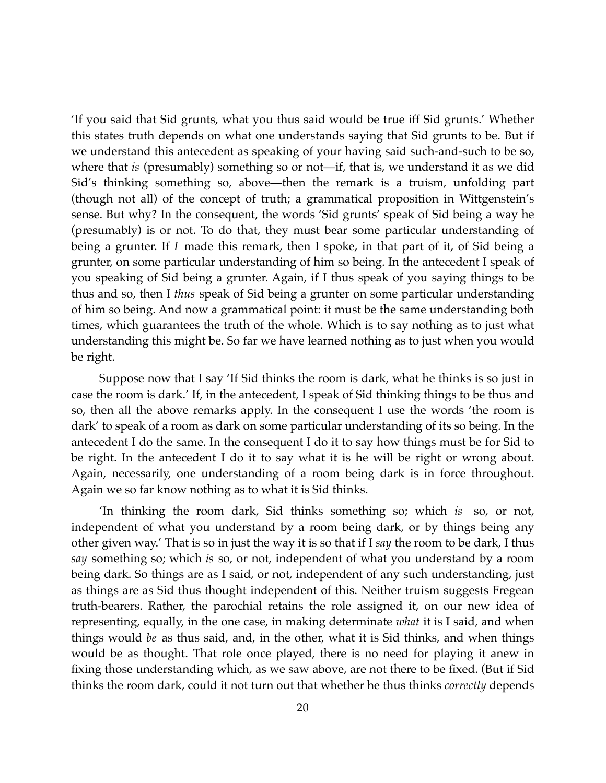'If you said that Sid grunts, what you thus said would be true iff Sid grunts.' Whether this states truth depends on what one understands saying that Sid grunts to be. But if we understand this antecedent as speaking of your having said such-and-such to be so, where that *is* (presumably) something so or not—if, that is, we understand it as we did Sid's thinking something so, above—then the remark is a truism, unfolding part (though not all) of the concept of truth; a grammatical proposition in Wittgenstein's sense. But why? In the consequent, the words 'Sid grunts' speak of Sid being a way he (presumably) is or not. To do that, they must bear some particular understanding of being a grunter. If *I* made this remark, then I spoke, in that part of it, of Sid being a grunter, on some particular understanding of him so being. In the antecedent I speak of you speaking of Sid being a grunter. Again, if I thus speak of you saying things to be thus and so, then I *thus* speak of Sid being a grunter on some particular understanding of him so being. And now a grammatical point: it must be the same understanding both times, which guarantees the truth of the whole. Which is to say nothing as to just what understanding this might be. So far we have learned nothing as to just when you would be right.

Suppose now that I say 'If Sid thinks the room is dark, what he thinks is so just in case the room is dark.' If, in the antecedent, I speak of Sid thinking things to be thus and so, then all the above remarks apply. In the consequent I use the words 'the room is dark' to speak of a room as dark on some particular understanding of its so being. In the antecedent I do the same. In the consequent I do it to say how things must be for Sid to be right. In the antecedent I do it to say what it is he will be right or wrong about. Again, necessarily, one understanding of a room being dark is in force throughout. Again we so far know nothing as to what it is Sid thinks.

'In thinking the room dark, Sid thinks something so; which *is* so, or not, independent of what you understand by a room being dark, or by things being any other given way.' That is so in just the way it is so that if I *say* the room to be dark, I thus *say* something so; which *is* so, or not, independent of what you understand by a room being dark. So things are as I said, or not, independent of any such understanding, just as things are as Sid thus thought independent of this. Neither truism suggests Fregean truth-bearers. Rather, the parochial retains the role assigned it, on our new idea of representing, equally, in the one case, in making determinate *what* it is I said, and when things would *be* as thus said, and, in the other, what it is Sid thinks, and when things would be as thought. That role once played, there is no need for playing it anew in fixing those understanding which, as we saw above, are not there to be fixed. (But if Sid thinks the room dark, could it not turn out that whether he thus thinks *correctly* depends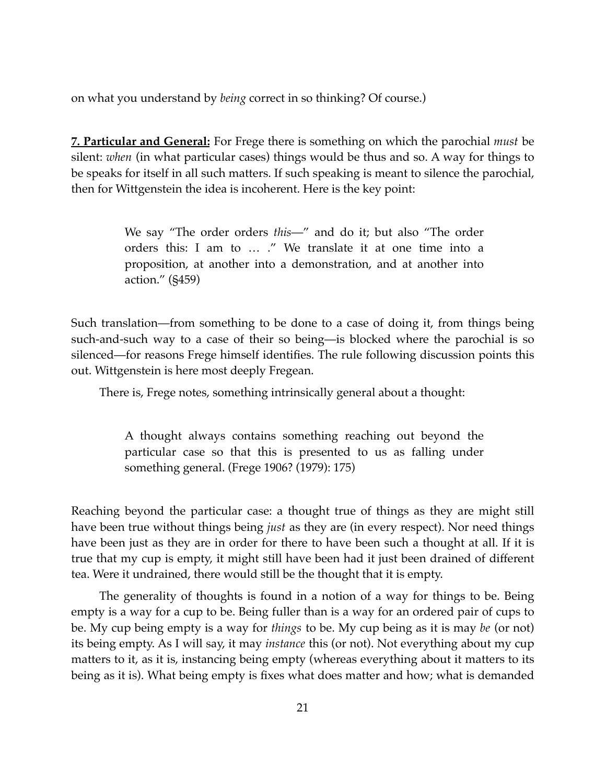on what you understand by *being* correct in so thinking? Of course.)

**7. Particular and General:** For Frege there is something on which the parochial *must* be silent: *when* (in what particular cases) things would be thus and so. A way for things to be speaks for itself in all such matters. If such speaking is meant to silence the parochial, then for Wittgenstein the idea is incoherent. Here is the key point:

> We say "The order orders *this*—" and do it; but also "The order orders this: I am to … ." We translate it at one time into a proposition, at another into a demonstration, and at another into action." (§459)

Such translation—from something to be done to a case of doing it, from things being such-and-such way to a case of their so being—is blocked where the parochial is so silenced—for reasons Frege himself identifies. The rule following discussion points this out. Wittgenstein is here most deeply Fregean.

There is, Frege notes, something intrinsically general about a thought:

A thought always contains something reaching out beyond the particular case so that this is presented to us as falling under something general. (Frege 1906? (1979): 175)

Reaching beyond the particular case: a thought true of things as they are might still have been true without things being *just* as they are (in every respect). Nor need things have been just as they are in order for there to have been such a thought at all. If it is true that my cup is empty, it might still have been had it just been drained of different tea. Were it undrained, there would still be the thought that it is empty.

The generality of thoughts is found in a notion of a way for things to be. Being empty is a way for a cup to be. Being fuller than is a way for an ordered pair of cups to be. My cup being empty is a way for *things* to be. My cup being as it is may *be* (or not) its being empty. As I will say, it may *instance* this (or not). Not everything about my cup matters to it, as it is, instancing being empty (whereas everything about it matters to its being as it is). What being empty is fixes what does matter and how; what is demanded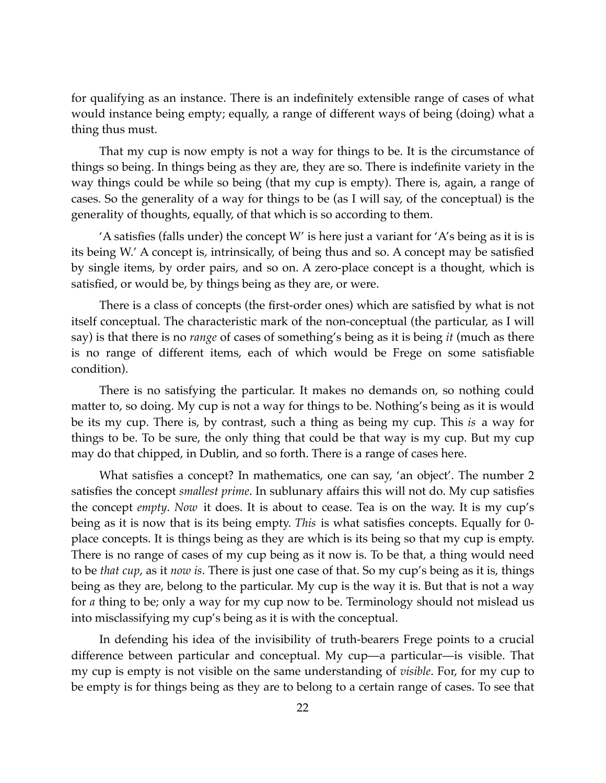for qualifying as an instance. There is an indefinitely extensible range of cases of what would instance being empty; equally, a range of different ways of being (doing) what a thing thus must.

That my cup is now empty is not a way for things to be. It is the circumstance of things so being. In things being as they are, they are so. There is indefinite variety in the way things could be while so being (that my cup is empty). There is, again, a range of cases. So the generality of a way for things to be (as I will say, of the conceptual) is the generality of thoughts, equally, of that which is so according to them.

'A satisfies (falls under) the concept W' is here just a variant for 'A's being as it is is its being W.' A concept is, intrinsically, of being thus and so. A concept may be satisfied by single items, by order pairs, and so on. A zero-place concept is a thought, which is satisfied, or would be, by things being as they are, or were.

There is a class of concepts (the first-order ones) which are satisfied by what is not itself conceptual. The characteristic mark of the non-conceptual (the particular, as I will say) is that there is no *range* of cases of something's being as it is being *it* (much as there is no range of different items, each of which would be Frege on some satisfiable condition).

There is no satisfying the particular. It makes no demands on, so nothing could matter to, so doing. My cup is not a way for things to be. Nothing's being as it is would be its my cup. There is, by contrast, such a thing as being my cup. This *is* a way for things to be. To be sure, the only thing that could be that way is my cup. But my cup may do that chipped, in Dublin, and so forth. There is a range of cases here.

What satisfies a concept? In mathematics, one can say, 'an object'. The number 2 satisfies the concept *smallest prime*. In sublunary affairs this will not do. My cup satisfies the concept *empty*. *Now* it does. It is about to cease. Tea is on the way. It is my cup's being as it is now that is its being empty. *This* is what satisfies concepts. Equally for 0 place concepts. It is things being as they are which is its being so that my cup is empty. There is no range of cases of my cup being as it now is. To be that, a thing would need to be *that cup*, as it *now is*. There is just one case of that. So my cup's being as it is, things being as they are, belong to the particular. My cup is the way it is. But that is not a way for *a* thing to be; only a way for my cup now to be. Terminology should not mislead us into misclassifying my cup's being as it is with the conceptual.

In defending his idea of the invisibility of truth-bearers Frege points to a crucial difference between particular and conceptual. My cup—a particular—is visible. That my cup is empty is not visible on the same understanding of *visible*. For, for my cup to be empty is for things being as they are to belong to a certain range of cases. To see that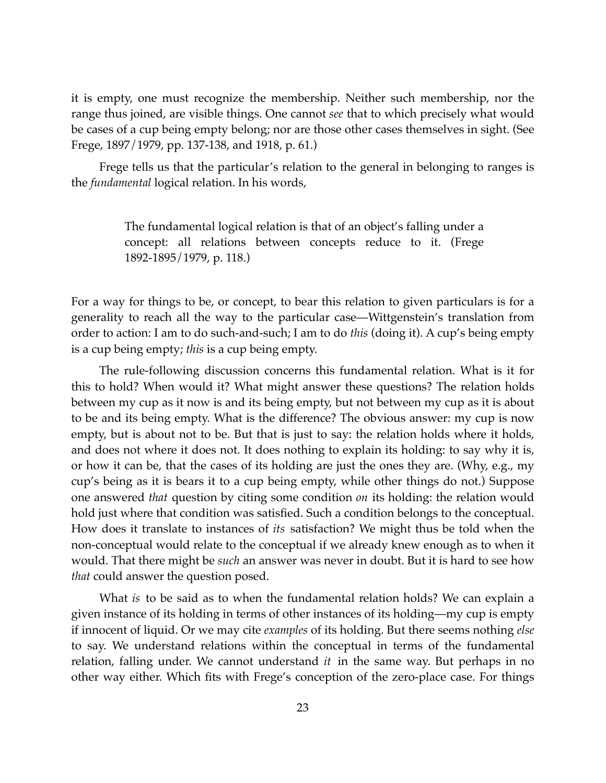it is empty, one must recognize the membership. Neither such membership, nor the range thus joined, are visible things. One cannot *see* that to which precisely what would be cases of a cup being empty belong; nor are those other cases themselves in sight. (See Frege, 1897/1979, pp. 137-138, and 1918, p. 61.)

Frege tells us that the particular's relation to the general in belonging to ranges is the *fundamental* logical relation. In his words,

> The fundamental logical relation is that of an object's falling under a concept: all relations between concepts reduce to it. (Frege 1892-1895/1979, p. 118.)

For a way for things to be, or concept, to bear this relation to given particulars is for a generality to reach all the way to the particular case—Wittgenstein's translation from order to action: I am to do such-and-such; I am to do *this* (doing it). A cup's being empty is a cup being empty; *this* is a cup being empty.

The rule-following discussion concerns this fundamental relation. What is it for this to hold? When would it? What might answer these questions? The relation holds between my cup as it now is and its being empty, but not between my cup as it is about to be and its being empty. What is the difference? The obvious answer: my cup is now empty, but is about not to be. But that is just to say: the relation holds where it holds, and does not where it does not. It does nothing to explain its holding: to say why it is, or how it can be, that the cases of its holding are just the ones they are. (Why, e.g., my cup's being as it is bears it to a cup being empty, while other things do not.) Suppose one answered *that* question by citing some condition *on* its holding: the relation would hold just where that condition was satisfied. Such a condition belongs to the conceptual. How does it translate to instances of *its* satisfaction? We might thus be told when the non-conceptual would relate to the conceptual if we already knew enough as to when it would. That there might be *such* an answer was never in doubt. But it is hard to see how *that* could answer the question posed.

What *is* to be said as to when the fundamental relation holds? We can explain a given instance of its holding in terms of other instances of its holding—my cup is empty if innocent of liquid. Or we may cite *examples* of its holding. But there seems nothing *else* to say. We understand relations within the conceptual in terms of the fundamental relation, falling under. We cannot understand *it* in the same way. But perhaps in no other way either. Which fits with Frege's conception of the zero-place case. For things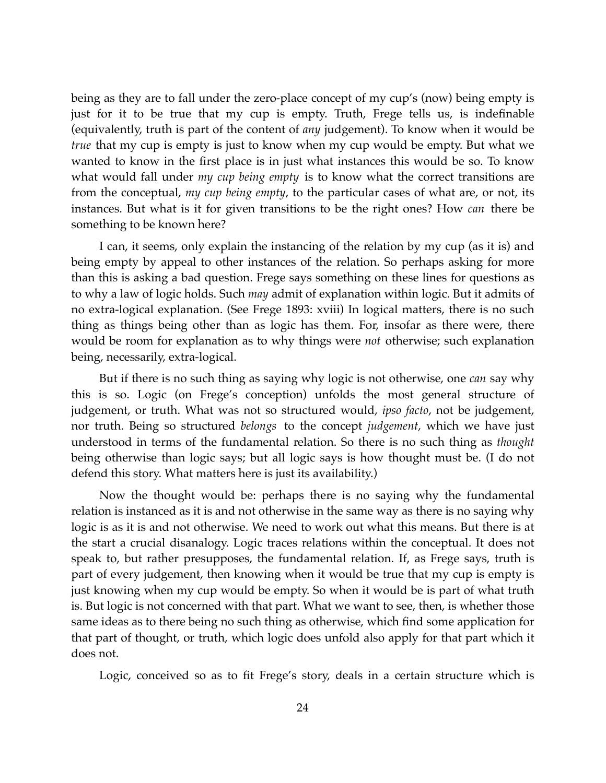being as they are to fall under the zero-place concept of my cup's (now) being empty is just for it to be true that my cup is empty. Truth, Frege tells us, is indefinable (equivalently, truth is part of the content of *any* judgement). To know when it would be *true* that my cup is empty is just to know when my cup would be empty. But what we wanted to know in the first place is in just what instances this would be so. To know what would fall under *my cup being empty* is to know what the correct transitions are from the conceptual, *my cup being empty*, to the particular cases of what are, or not, its instances. But what is it for given transitions to be the right ones? How *can* there be something to be known here?

I can, it seems, only explain the instancing of the relation by my cup (as it is) and being empty by appeal to other instances of the relation. So perhaps asking for more than this is asking a bad question. Frege says something on these lines for questions as to why a law of logic holds. Such *may* admit of explanation within logic. But it admits of no extra-logical explanation. (See Frege 1893: xviii) In logical matters, there is no such thing as things being other than as logic has them. For, insofar as there were, there would be room for explanation as to why things were *not* otherwise; such explanation being, necessarily, extra-logical.

But if there is no such thing as saying why logic is not otherwise, one *can* say why this is so. Logic (on Frege's conception) unfolds the most general structure of judgement, or truth. What was not so structured would, *ipso facto*, not be judgement, nor truth. Being so structured *belongs* to the concept *judgement*, which we have just understood in terms of the fundamental relation. So there is no such thing as *thought* being otherwise than logic says; but all logic says is how thought must be. (I do not defend this story. What matters here is just its availability.)

Now the thought would be: perhaps there is no saying why the fundamental relation is instanced as it is and not otherwise in the same way as there is no saying why logic is as it is and not otherwise. We need to work out what this means. But there is at the start a crucial disanalogy. Logic traces relations within the conceptual. It does not speak to, but rather presupposes, the fundamental relation. If, as Frege says, truth is part of every judgement, then knowing when it would be true that my cup is empty is just knowing when my cup would be empty. So when it would be is part of what truth is. But logic is not concerned with that part. What we want to see, then, is whether those same ideas as to there being no such thing as otherwise, which find some application for that part of thought, or truth, which logic does unfold also apply for that part which it does not.

Logic, conceived so as to fit Frege's story, deals in a certain structure which is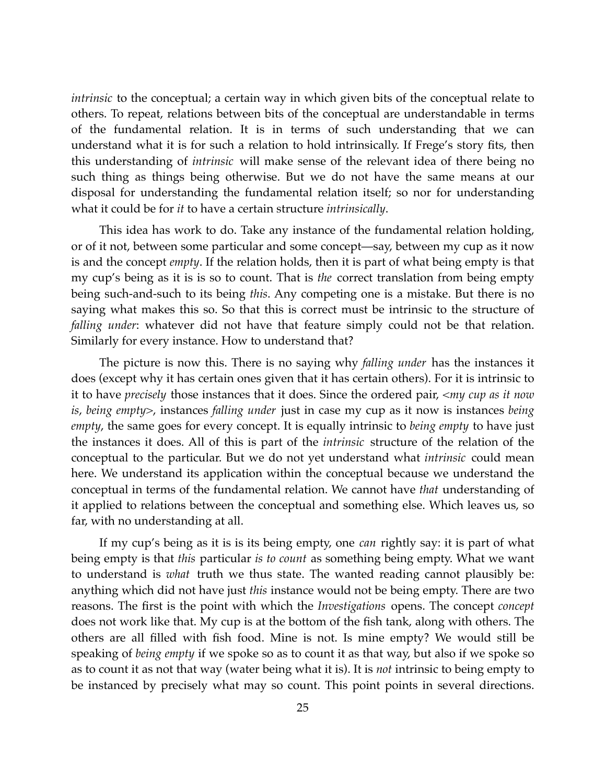*intrinsic* to the conceptual; a certain way in which given bits of the conceptual relate to others. To repeat, relations between bits of the conceptual are understandable in terms of the fundamental relation. It is in terms of such understanding that we can understand what it is for such a relation to hold intrinsically. If Frege's story fits, then this understanding of *intrinsic* will make sense of the relevant idea of there being no such thing as things being otherwise. But we do not have the same means at our disposal for understanding the fundamental relation itself; so nor for understanding what it could be for *it* to have a certain structure *intrinsically*.

This idea has work to do. Take any instance of the fundamental relation holding, or of it not, between some particular and some concept—say, between my cup as it now is and the concept *empty*. If the relation holds, then it is part of what being empty is that my cup's being as it is is so to count. That is *the* correct translation from being empty being such-and-such to its being *this*. Any competing one is a mistake. But there is no saying what makes this so. So that this is correct must be intrinsic to the structure of *falling under*: whatever did not have that feature simply could not be that relation. Similarly for every instance. How to understand that?

The picture is now this. There is no saying why *falling under* has the instances it does (except why it has certain ones given that it has certain others). For it is intrinsic to it to have *precisely* those instances that it does. Since the ordered pair, <*my cup as it now is*, *being empty*>, instances *falling under* just in case my cup as it now is instances *being empty*, the same goes for every concept. It is equally intrinsic to *being empty* to have just the instances it does. All of this is part of the *intrinsic* structure of the relation of the conceptual to the particular. But we do not yet understand what *intrinsic* could mean here. We understand its application within the conceptual because we understand the conceptual in terms of the fundamental relation. We cannot have *that* understanding of it applied to relations between the conceptual and something else. Which leaves us, so far, with no understanding at all.

If my cup's being as it is is its being empty, one *can* rightly say: it is part of what being empty is that *this* particular *is to count* as something being empty. What we want to understand is *what* truth we thus state. The wanted reading cannot plausibly be: anything which did not have just *this* instance would not be being empty. There are two reasons. The first is the point with which the *Investigations* opens. The concept *concept* does not work like that. My cup is at the bottom of the fish tank, along with others. The others are all filled with fish food. Mine is not. Is mine empty? We would still be speaking of *being empty* if we spoke so as to count it as that way, but also if we spoke so as to count it as not that way (water being what it is). It is *not* intrinsic to being empty to be instanced by precisely what may so count. This point points in several directions.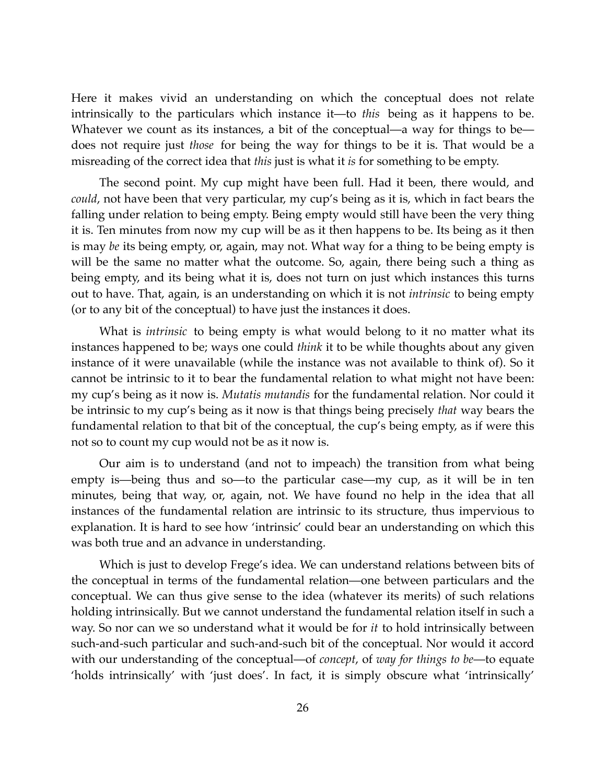Here it makes vivid an understanding on which the conceptual does not relate intrinsically to the particulars which instance it—to *this* being as it happens to be. Whatever we count as its instances, a bit of the conceptual—a way for things to be does not require just *those* for being the way for things to be it is. That would be a misreading of the correct idea that *this* just is what it *is* for something to be empty.

The second point. My cup might have been full. Had it been, there would, and *could*, not have been that very particular, my cup's being as it is, which in fact bears the falling under relation to being empty. Being empty would still have been the very thing it is. Ten minutes from now my cup will be as it then happens to be. Its being as it then is may *be* its being empty, or, again, may not. What way for a thing to be being empty is will be the same no matter what the outcome. So, again, there being such a thing as being empty, and its being what it is, does not turn on just which instances this turns out to have. That, again, is an understanding on which it is not *intrinsic* to being empty (or to any bit of the conceptual) to have just the instances it does.

What is *intrinsic* to being empty is what would belong to it no matter what its instances happened to be; ways one could *think* it to be while thoughts about any given instance of it were unavailable (while the instance was not available to think of). So it cannot be intrinsic to it to bear the fundamental relation to what might not have been: my cup's being as it now is. *Mutatis mutandis* for the fundamental relation. Nor could it be intrinsic to my cup's being as it now is that things being precisely *that* way bears the fundamental relation to that bit of the conceptual, the cup's being empty, as if were this not so to count my cup would not be as it now is.

Our aim is to understand (and not to impeach) the transition from what being empty is—being thus and so—to the particular case—my cup, as it will be in ten minutes, being that way, or, again, not. We have found no help in the idea that all instances of the fundamental relation are intrinsic to its structure, thus impervious to explanation. It is hard to see how 'intrinsic' could bear an understanding on which this was both true and an advance in understanding.

Which is just to develop Frege's idea. We can understand relations between bits of the conceptual in terms of the fundamental relation—one between particulars and the conceptual. We can thus give sense to the idea (whatever its merits) of such relations holding intrinsically. But we cannot understand the fundamental relation itself in such a way. So nor can we so understand what it would be for *it* to hold intrinsically between such-and-such particular and such-and-such bit of the conceptual. Nor would it accord with our understanding of the conceptual—of *concept*, of *way for things to be*—to equate 'holds intrinsically' with 'just does'. In fact, it is simply obscure what 'intrinsically'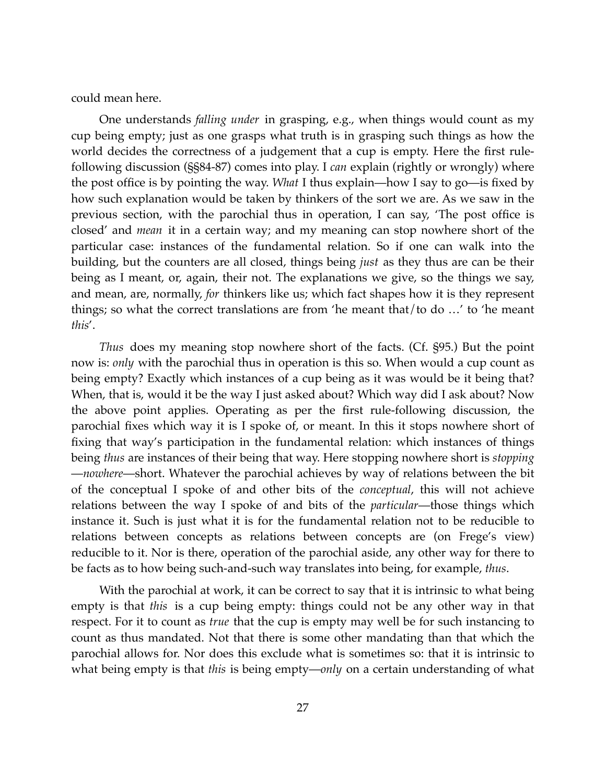could mean here.

One understands *falling under* in grasping, e.g., when things would count as my cup being empty; just as one grasps what truth is in grasping such things as how the world decides the correctness of a judgement that a cup is empty. Here the first rulefollowing discussion (§§84-87) comes into play. I *can* explain (rightly or wrongly) where the post office is by pointing the way. *What* I thus explain—how I say to go—is fixed by how such explanation would be taken by thinkers of the sort we are. As we saw in the previous section, with the parochial thus in operation, I can say, 'The post office is closed' and *mean* it in a certain way; and my meaning can stop nowhere short of the particular case: instances of the fundamental relation. So if one can walk into the building, but the counters are all closed, things being *just* as they thus are can be their being as I meant, or, again, their not. The explanations we give, so the things we say, and mean, are, normally, *for* thinkers like us; which fact shapes how it is they represent things; so what the correct translations are from 'he meant that/to do …' to 'he meant *this*'.

*Thus* does my meaning stop nowhere short of the facts. (Cf. §95.) But the point now is: *only* with the parochial thus in operation is this so. When would a cup count as being empty? Exactly which instances of a cup being as it was would be it being that? When, that is, would it be the way I just asked about? Which way did I ask about? Now the above point applies. Operating as per the first rule-following discussion, the parochial fixes which way it is I spoke of, or meant. In this it stops nowhere short of fixing that way's participation in the fundamental relation: which instances of things being *thus* are instances of their being that way. Here stopping nowhere short is *stopping* —*nowhere*—short. Whatever the parochial achieves by way of relations between the bit of the conceptual I spoke of and other bits of the *conceptual*, this will not achieve relations between the way I spoke of and bits of the *particular*—those things which instance it. Such is just what it is for the fundamental relation not to be reducible to relations between concepts as relations between concepts are (on Frege's view) reducible to it. Nor is there, operation of the parochial aside, any other way for there to be facts as to how being such-and-such way translates into being, for example, *thus*.

With the parochial at work, it can be correct to say that it is intrinsic to what being empty is that *this* is a cup being empty: things could not be any other way in that respect. For it to count as *true* that the cup is empty may well be for such instancing to count as thus mandated. Not that there is some other mandating than that which the parochial allows for. Nor does this exclude what is sometimes so: that it is intrinsic to what being empty is that *this* is being empty—*only* on a certain understanding of what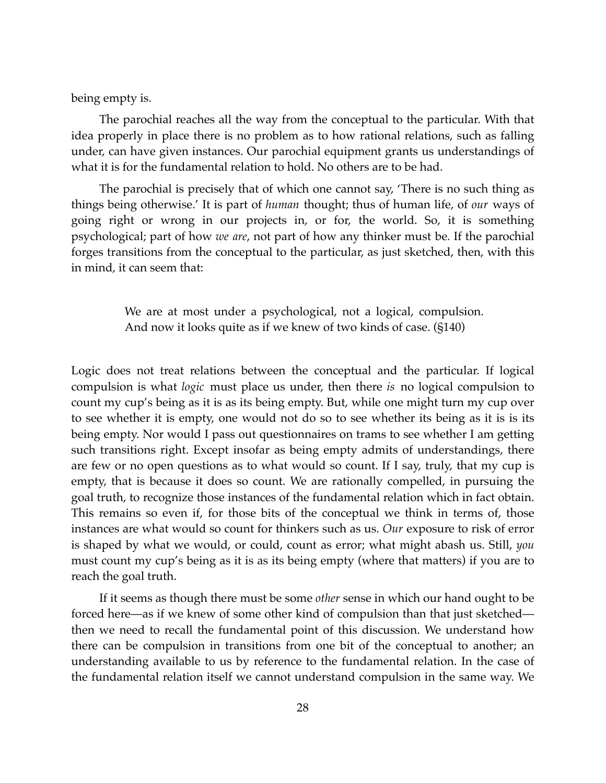being empty is.

The parochial reaches all the way from the conceptual to the particular. With that idea properly in place there is no problem as to how rational relations, such as falling under, can have given instances. Our parochial equipment grants us understandings of what it is for the fundamental relation to hold. No others are to be had.

The parochial is precisely that of which one cannot say, 'There is no such thing as things being otherwise.' It is part of *human* thought; thus of human life, of *our* ways of going right or wrong in our projects in, or for, the world. So, it is something psychological; part of how *we are*, not part of how any thinker must be*.* If the parochial forges transitions from the conceptual to the particular, as just sketched, then, with this in mind, it can seem that:

> We are at most under a psychological, not a logical, compulsion. And now it looks quite as if we knew of two kinds of case. (§140)

Logic does not treat relations between the conceptual and the particular. If logical compulsion is what *logic* must place us under, then there *is* no logical compulsion to count my cup's being as it is as its being empty. But, while one might turn my cup over to see whether it is empty, one would not do so to see whether its being as it is is its being empty. Nor would I pass out questionnaires on trams to see whether I am getting such transitions right. Except insofar as being empty admits of understandings, there are few or no open questions as to what would so count. If I say, truly, that my cup is empty, that is because it does so count. We are rationally compelled, in pursuing the goal truth, to recognize those instances of the fundamental relation which in fact obtain. This remains so even if, for those bits of the conceptual we think in terms of, those instances are what would so count for thinkers such as us. *Our* exposure to risk of error is shaped by what we would, or could, count as error; what might abash us. Still, *you* must count my cup's being as it is as its being empty (where that matters) if you are to reach the goal truth.

If it seems as though there must be some *other* sense in which our hand ought to be forced here—as if we knew of some other kind of compulsion than that just sketched then we need to recall the fundamental point of this discussion. We understand how there can be compulsion in transitions from one bit of the conceptual to another; an understanding available to us by reference to the fundamental relation. In the case of the fundamental relation itself we cannot understand compulsion in the same way. We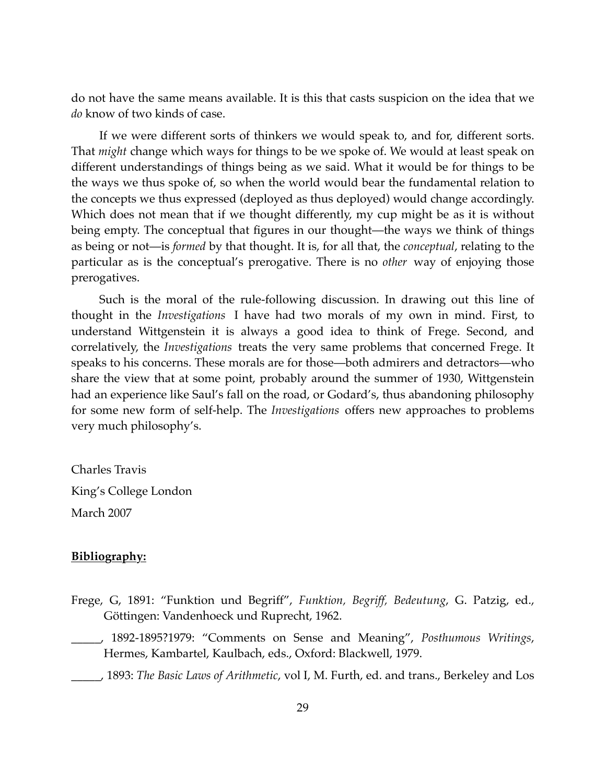do not have the same means available. It is this that casts suspicion on the idea that we *do* know of two kinds of case.

If we were different sorts of thinkers we would speak to, and for, different sorts. That *might* change which ways for things to be we spoke of. We would at least speak on different understandings of things being as we said. What it would be for things to be the ways we thus spoke of, so when the world would bear the fundamental relation to the concepts we thus expressed (deployed as thus deployed) would change accordingly. Which does not mean that if we thought differently, my cup might be as it is without being empty. The conceptual that figures in our thought—the ways we think of things as being or not—is *formed* by that thought. It is, for all that, the *conceptual*, relating to the particular as is the conceptual's prerogative. There is no *other* way of enjoying those prerogatives.

Such is the moral of the rule-following discussion. In drawing out this line of thought in the *Investigations* I have had two morals of my own in mind. First, to understand Wittgenstein it is always a good idea to think of Frege. Second, and correlatively, the *Investigations* treats the very same problems that concerned Frege. It speaks to his concerns. These morals are for those—both admirers and detractors—who share the view that at some point, probably around the summer of 1930, Wittgenstein had an experience like Saul's fall on the road, or Godard's, thus abandoning philosophy for some new form of self-help. The *Investigations* offers new approaches to problems very much philosophy's.

Charles Travis King's College London March 2007

## **Bibliography:**

Frege, G, 1891: "Funktion und Begriff", *Funktion, Begriff, Bedeutung*, G. Patzig, ed., Göttingen: Vandenhoeck und Ruprecht, 1962.

\_\_\_\_\_, 1892-1895?1979: "Comments on Sense and Meaning", *Posthumous Writings*, Hermes, Kambartel, Kaulbach, eds., Oxford: Blackwell, 1979.

\_\_\_\_\_, 1893: *The Basic Laws of Arithmetic*, vol I, M. Furth, ed. and trans., Berkeley and Los